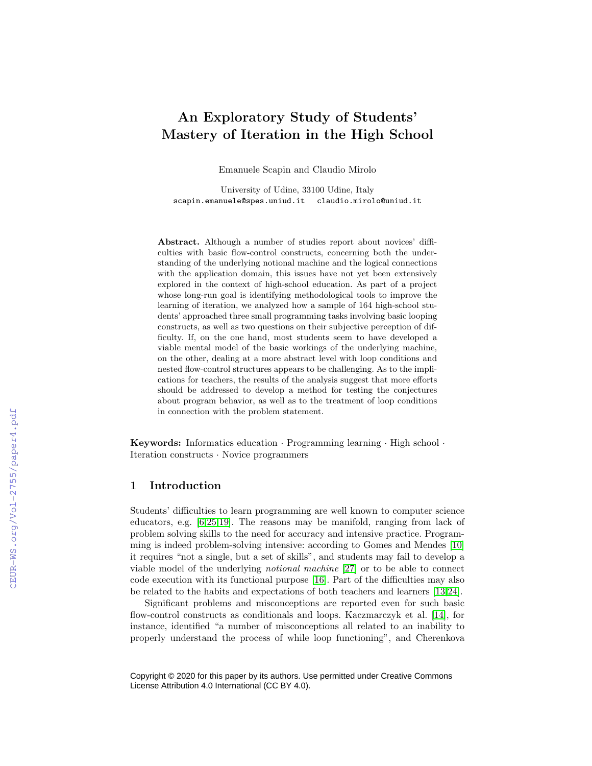# An Exploratory Study of Students' Mastery of Iteration in the High School

Emanuele Scapin and Claudio Mirolo

University of Udine, 33100 Udine, Italy scapin.emanuele@spes.uniud.it claudio.mirolo@uniud.it

Abstract. Although a number of studies report about novices' difficulties with basic flow-control constructs, concerning both the understanding of the underlying notional machine and the logical connections with the application domain, this issues have not yet been extensively explored in the context of high-school education. As part of a project whose long-run goal is identifying methodological tools to improve the learning of iteration, we analyzed how a sample of 164 high-school students' approached three small programming tasks involving basic looping constructs, as well as two questions on their subjective perception of difficulty. If, on the one hand, most students seem to have developed a viable mental model of the basic workings of the underlying machine, on the other, dealing at a more abstract level with loop conditions and nested flow-control structures appears to be challenging. As to the implications for teachers, the results of the analysis suggest that more efforts should be addressed to develop a method for testing the conjectures about program behavior, as well as to the treatment of loop conditions in connection with the problem statement.

Keywords: Informatics education · Programming learning · High school · Iteration constructs · Novice programmers

# 1 Introduction

Students' difficulties to learn programming are well known to computer science educators, e.g. [\[6](#page--1-0)[,25,](#page--1-1)[19\]](#page--1-2). The reasons may be manifold, ranging from lack of problem solving skills to the need for accuracy and intensive practice. Programming is indeed problem-solving intensive: according to Gomes and Mendes [\[10\]](#page--1-3) it requires "not a single, but a set of skills", and students may fail to develop a viable model of the underlying notional machine [\[27\]](#page--1-4) or to be able to connect code execution with its functional purpose [\[16\]](#page--1-5). Part of the difficulties may also be related to the habits and expectations of both teachers and learners [\[13,](#page--1-6)[24\]](#page--1-7).

Significant problems and misconceptions are reported even for such basic flow-control constructs as conditionals and loops. Kaczmarczyk et al. [\[14\]](#page--1-8), for instance, identified "a number of misconceptions all related to an inability to properly understand the process of while loop functioning", and Cherenkova

Copyright © 2020 for this paper by its authors. Use permitted under Creative Commons License Attribution 4.0 International (CC BY 4.0).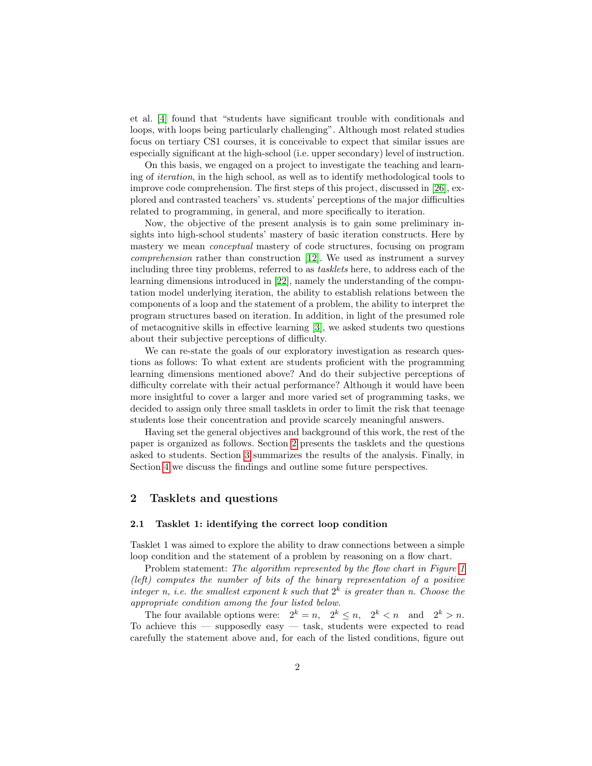et al. [\[4\]](#page-10-0) found that "students have significant trouble with conditionals and loops, with loops being particularly challenging". Although most related studies focus on tertiary CS1 courses, it is conceivable to expect that similar issues are especially significant at the high-school (i.e. upper secondary) level of instruction.

On this basis, we engaged on a project to investigate the teaching and learning of iteration, in the high school, as well as to identify methodological tools to improve code comprehension. The first steps of this project, discussed in [\[26\]](#page-11-0), explored and contrasted teachers' vs. students' perceptions of the major difficulties related to programming, in general, and more specifically to iteration.

Now, the objective of the present analysis is to gain some preliminary insights into high-school students' mastery of basic iteration constructs. Here by mastery we mean conceptual mastery of code structures, focusing on program comprehension rather than construction [\[12\]](#page-10-1). We used as instrument a survey including three tiny problems, referred to as tasklets here, to address each of the learning dimensions introduced in [\[22\]](#page-11-1), namely the understanding of the computation model underlying iteration, the ability to establish relations between the components of a loop and the statement of a problem, the ability to interpret the program structures based on iteration. In addition, in light of the presumed role of metacognitive skills in effective learning [\[3\]](#page-10-2), we asked students two questions about their subjective perceptions of difficulty.

We can re-state the goals of our exploratory investigation as research questions as follows: To what extent are students proficient with the programming learning dimensions mentioned above? And do their subjective perceptions of difficulty correlate with their actual performance? Although it would have been more insightful to cover a larger and more varied set of programming tasks, we decided to assign only three small tasklets in order to limit the risk that teenage students lose their concentration and provide scarcely meaningful answers.

Having set the general objectives and background of this work, the rest of the paper is organized as follows. Section [2](#page-1-0) presents the tasklets and the questions asked to students. Section [3](#page-3-0) summarizes the results of the analysis. Finally, in Section [4](#page-7-0) we discuss the findings and outline some future perspectives.

## <span id="page-1-0"></span>2 Tasklets and questions

## 2.1 Tasklet 1: identifying the correct loop condition

Tasklet 1 was aimed to explore the ability to draw connections between a simple loop condition and the statement of a problem by reasoning on a flow chart.

Problem statement: The algorithm represented by the flow chart in Figure [1](#page-2-0) (left) computes the number of bits of the binary representation of a positive integer n, i.e. the smallest exponent k such that  $2^k$  is greater than n. Choose the appropriate condition among the four listed below.

The four available options were:  $2^k = n$ ,  $2^k \le n$ ,  $2^k \le n$  and  $2^k > n$ . To achieve this  $-$  supposedly easy  $-$  task, students were expected to read carefully the statement above and, for each of the listed conditions, figure out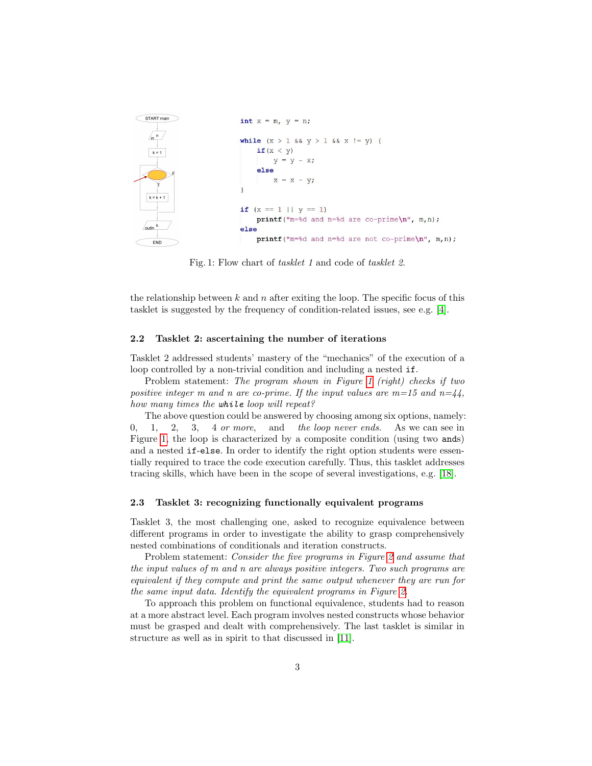<span id="page-2-0"></span>

Fig. 1: Flow chart of tasklet 1 and code of tasklet 2.

the relationship between  $k$  and  $n$  after exiting the loop. The specific focus of this tasklet is suggested by the frequency of condition-related issues, see e.g. [\[4\]](#page-10-0).

#### 2.2 Tasklet 2: ascertaining the number of iterations

Tasklet 2 addressed students' mastery of the "mechanics" of the execution of a loop controlled by a non-trivial condition and including a nested if.

Problem statement: The program shown in Figure [1](#page-2-0) (right) checks if two positive integer m and n are co-prime. If the input values are  $m=15$  and  $n=44$ , how many times the while loop will repeat?

The above question could be answered by choosing among six options, namely:  $0, 1, 2, 3, 4 \text{ or more}, \text{ and }$  the loop never ends. As we can see in Figure [1,](#page-2-0) the loop is characterized by a composite condition (using two ands) and a nested if-else. In order to identify the right option students were essentially required to trace the code execution carefully. Thus, this tasklet addresses tracing skills, which have been in the scope of several investigations, e.g. [\[18\]](#page-11-2).

## 2.3 Tasklet 3: recognizing functionally equivalent programs

Tasklet 3, the most challenging one, asked to recognize equivalence between different programs in order to investigate the ability to grasp comprehensively nested combinations of conditionals and iteration constructs.

Problem statement: Consider the five programs in Figure [2](#page-3-1) and assume that the input values of m and n are always positive integers. Two such programs are equivalent if they compute and print the same output whenever they are run for the same input data. Identify the equivalent programs in Figure [2.](#page-3-1)

To approach this problem on functional equivalence, students had to reason at a more abstract level. Each program involves nested constructs whose behavior must be grasped and dealt with comprehensively. The last tasklet is similar in structure as well as in spirit to that discussed in [\[11\]](#page-10-3).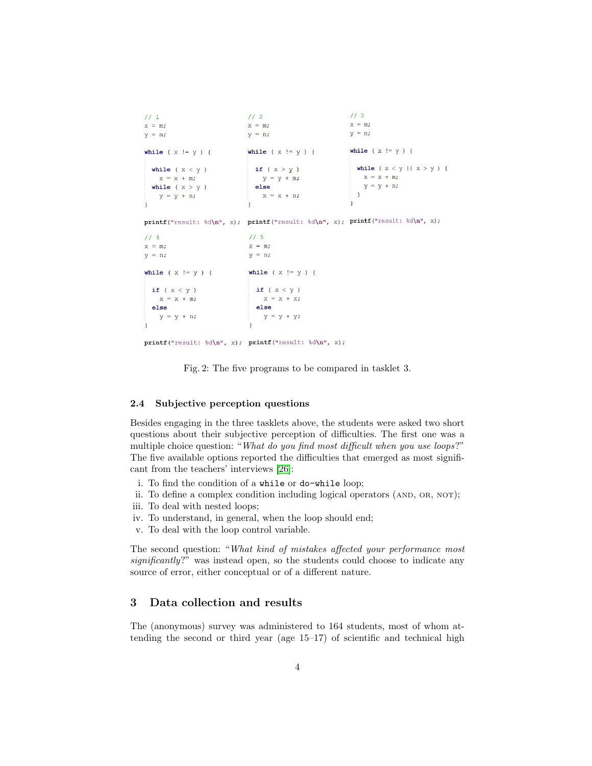<span id="page-3-1"></span> $1/1$  $1/2$  $113$  $x = m$ ;  $X = m$ ;  $x = m;$  $y = n;$  $y = n$ ;  $y = n;$ while ( $x := y$ ) { while  $(x := y)$  { while  $(x := y)$  { if  $(x > y)$ while  $(x < y)$ while  $(x < y || x > y)$  {  $X = X + m;$  $X = X + m;$  $y = y + m;$ else  $y = y + n;$ while  $(x > y)$  $x = x + n$  $\overline{\phantom{a}}$  $y = y + n;$  $\overline{\phantom{a}}$ 

 $\texttt{printf("result: %d\nu", x); printf("result: %d\nu", x); printf("result: %d\nu", x);$ 

```
115114x = m;
                     x = m;
y = n;y = n;while (x := y) {
while (x := y) {
 if (x < y)if (x < y)X = X + X;X = X + m;else
                       else
  y = y + n;y = y + y;
```
printf("result:  $d\n'$ , x); printf("result:  $d\n'$ , x);

Fig. 2: The five programs to be compared in tasklet 3.

## 2.4 Subjective perception questions

Besides engaging in the three tasklets above, the students were asked two short questions about their subjective perception of difficulties. The first one was a multiple choice question: "What do you find most difficult when you use loops?" The five available options reported the difficulties that emerged as most significant from the teachers' interviews [\[26\]](#page-11-0):

- i. To find the condition of a while or do-while loop;
- ii. To define a complex condition including logical operators (AND, OR, NOT);
- iii. To deal with nested loops;
- iv. To understand, in general, when the loop should end;
- v. To deal with the loop control variable.

The second question: "What kind of mistakes affected your performance most significantly?" was instead open, so the students could choose to indicate any source of error, either conceptual or of a different nature.

# <span id="page-3-0"></span>3 Data collection and results

The (anonymous) survey was administered to 164 students, most of whom attending the second or third year (age 15–17) of scientific and technical high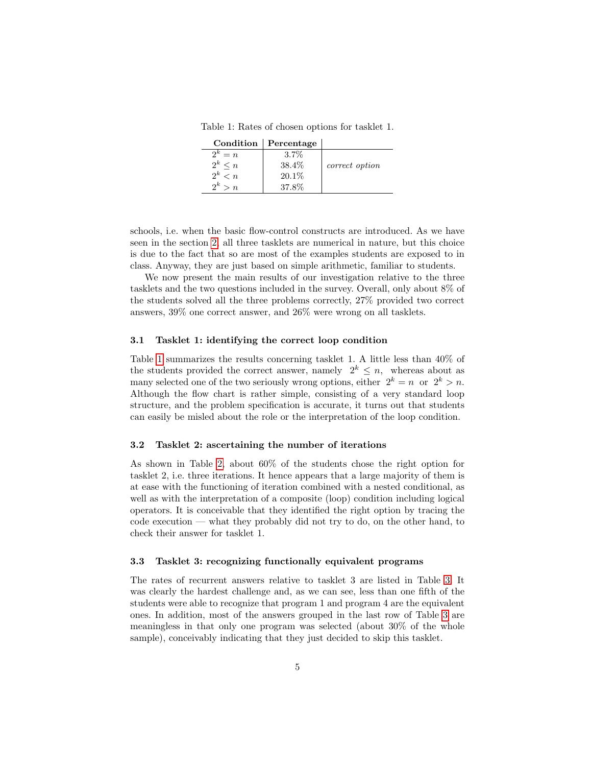<span id="page-4-0"></span>Table 1: Rates of chosen options for tasklet 1.

| Condition | Percentage |                |
|-----------|------------|----------------|
| $2^k = n$ | $3.7\%$    |                |
| $2^k < n$ | 38.4%      | correct option |
| $2^k < n$ | $20.1\%$   |                |
| $2^k > n$ | 37.8%      |                |

schools, i.e. when the basic flow-control constructs are introduced. As we have seen in the section [2,](#page-1-0) all three tasklets are numerical in nature, but this choice is due to the fact that so are most of the examples students are exposed to in class. Anyway, they are just based on simple arithmetic, familiar to students.

We now present the main results of our investigation relative to the three tasklets and the two questions included in the survey. Overall, only about 8% of the students solved all the three problems correctly, 27% provided two correct answers, 39% one correct answer, and 26% were wrong on all tasklets.

## 3.1 Tasklet 1: identifying the correct loop condition

Table [1](#page-4-0) summarizes the results concerning tasklet 1. A little less than 40% of the students provided the correct answer, namely  $2^k \leq n$ , whereas about as many selected one of the two seriously wrong options, either  $2^k = n$  or  $2^k > n$ . Although the flow chart is rather simple, consisting of a very standard loop structure, and the problem specification is accurate, it turns out that students can easily be misled about the role or the interpretation of the loop condition.

#### 3.2 Tasklet 2: ascertaining the number of iterations

As shown in Table [2,](#page-5-0) about 60% of the students chose the right option for tasklet 2, i.e. three iterations. It hence appears that a large majority of them is at ease with the functioning of iteration combined with a nested conditional, as well as with the interpretation of a composite (loop) condition including logical operators. It is conceivable that they identified the right option by tracing the code execution — what they probably did not try to do, on the other hand, to check their answer for tasklet 1.

#### 3.3 Tasklet 3: recognizing functionally equivalent programs

The rates of recurrent answers relative to tasklet 3 are listed in Table [3.](#page-5-1) It was clearly the hardest challenge and, as we can see, less than one fifth of the students were able to recognize that program 1 and program 4 are the equivalent ones. In addition, most of the answers grouped in the last row of Table [3](#page-5-1) are meaningless in that only one program was selected (about 30% of the whole sample), conceivably indicating that they just decided to skip this tasklet.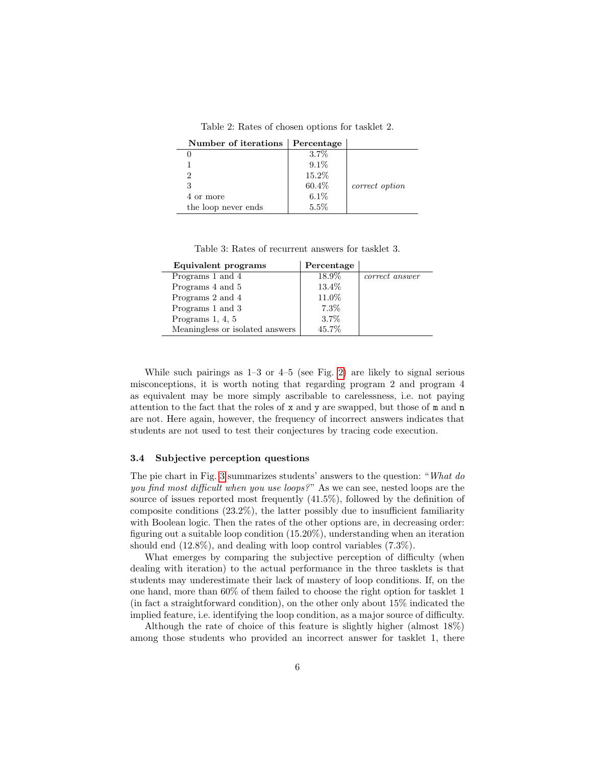Table 2: Rates of chosen options for tasklet 2.

<span id="page-5-0"></span>

| Number of iterations | $\vert$ Percentage |                |
|----------------------|--------------------|----------------|
|                      | $3.7\%$            |                |
|                      | $9.1\%$            |                |
|                      | 15.2%              |                |
|                      | 60.4%              | correct option |
| 4 or more            | $6.1\%$            |                |
| the loop never ends  | 5.5%               |                |

Table 3: Rates of recurrent answers for tasklet 3.

<span id="page-5-1"></span>

| Equivalent programs             | Percentage |                |
|---------------------------------|------------|----------------|
| Programs 1 and 4                | 18.9%      | correct answer |
| Programs 4 and 5                | 13.4%      |                |
| Programs 2 and 4                | 11.0%      |                |
| Programs 1 and 3                | $7.3\%$    |                |
| Programs $1, 4, 5$              | $3.7\%$    |                |
| Meaningless or isolated answers | 45.7%      |                |

While such pairings as 1–3 or 4–5 (see Fig. [2\)](#page-3-1) are likely to signal serious misconceptions, it is worth noting that regarding program 2 and program 4 as equivalent may be more simply ascribable to carelessness, i.e. not paying attention to the fact that the roles of x and y are swapped, but those of m and n are not. Here again, however, the frequency of incorrect answers indicates that students are not used to test their conjectures by tracing code execution.

#### 3.4 Subjective perception questions

The pie chart in Fig. [3](#page-6-0) summarizes students' answers to the question: "What do you find most difficult when you use loops?" As we can see, nested loops are the source of issues reported most frequently (41.5%), followed by the definition of composite conditions (23.2%), the latter possibly due to insufficient familiarity with Boolean logic. Then the rates of the other options are, in decreasing order: figuring out a suitable loop condition (15.20%), understanding when an iteration should end (12.8%), and dealing with loop control variables (7.3%).

What emerges by comparing the subjective perception of difficulty (when dealing with iteration) to the actual performance in the three tasklets is that students may underestimate their lack of mastery of loop conditions. If, on the one hand, more than 60% of them failed to choose the right option for tasklet 1 (in fact a straightforward condition), on the other only about 15% indicated the implied feature, i.e. identifying the loop condition, as a major source of difficulty.

Although the rate of choice of this feature is slightly higher (almost 18%) among those students who provided an incorrect answer for tasklet 1, there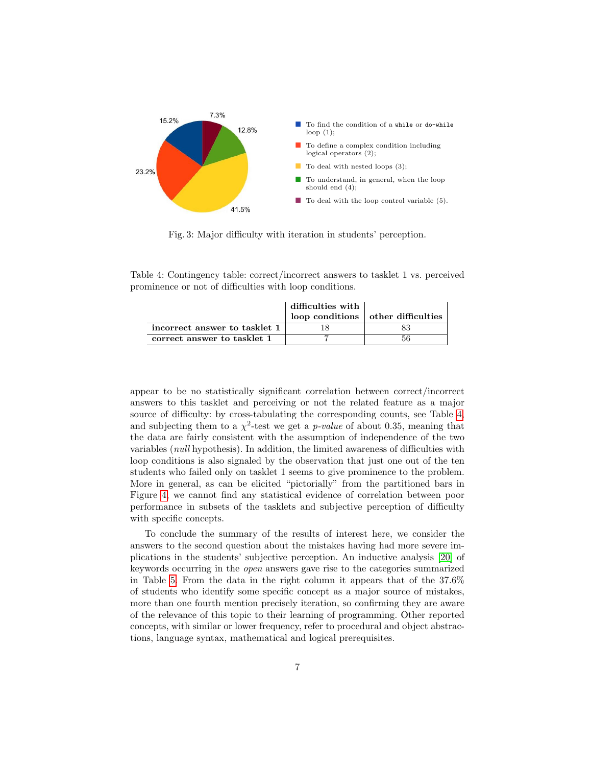<span id="page-6-0"></span>

Fig. 3: Major difficulty with iteration in students' perception.

<span id="page-6-1"></span>Table 4: Contingency table: correct/incorrect answers to tasklet 1 vs. perceived prominence or not of difficulties with loop conditions.

|                               | difficulties with | $\log$ conditions $\log$ other difficulties |
|-------------------------------|-------------------|---------------------------------------------|
| incorrect answer to tasklet 1 |                   |                                             |
| correct answer to tasklet 1   |                   |                                             |

appear to be no statistically significant correlation between correct/incorrect answers to this tasklet and perceiving or not the related feature as a major source of difficulty: by cross-tabulating the corresponding counts, see Table [4,](#page-6-1) and subjecting them to a  $\chi^2$ -test we get a *p-value* of about 0.35, meaning that the data are fairly consistent with the assumption of independence of the two variables (null hypothesis). In addition, the limited awareness of difficulties with loop conditions is also signaled by the observation that just one out of the ten students who failed only on tasklet 1 seems to give prominence to the problem. More in general, as can be elicited "pictorially" from the partitioned bars in Figure [4,](#page-7-1) we cannot find any statistical evidence of correlation between poor performance in subsets of the tasklets and subjective perception of difficulty with specific concepts.

To conclude the summary of the results of interest here, we consider the answers to the second question about the mistakes having had more severe implications in the students' subjective perception. An inductive analysis [\[20\]](#page-11-3) of keywords occurring in the open answers gave rise to the categories summarized in Table [5.](#page-8-0) From the data in the right column it appears that of the 37.6% of students who identify some specific concept as a major source of mistakes, more than one fourth mention precisely iteration, so confirming they are aware of the relevance of this topic to their learning of programming. Other reported concepts, with similar or lower frequency, refer to procedural and object abstractions, language syntax, mathematical and logical prerequisites.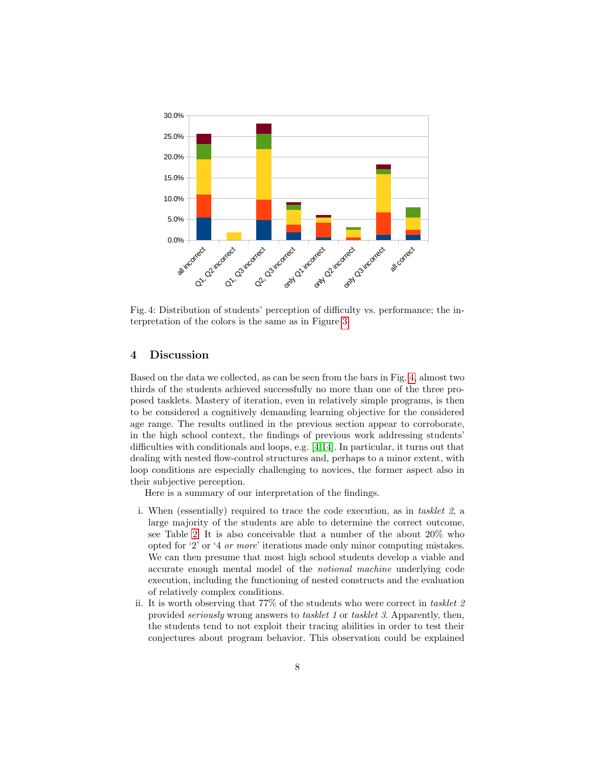<span id="page-7-1"></span>

Fig. 4: Distribution of students' perception of difficulty vs. performance; the interpretation of the colors is the same as in Figure [3.](#page-6-0)

#### <span id="page-7-0"></span>4 Discussion

Based on the data we collected, as can be seen from the bars in Fig. [4,](#page-7-1) almost two thirds of the students achieved successfully no more than one of the three proposed tasklets. Mastery of iteration, even in relatively simple programs, is then to be considered a cognitively demanding learning objective for the considered age range. The results outlined in the previous section appear to corroborate, in the high school context, the findings of previous work addressing students' difficulties with conditionals and loops, e.g. [\[4,](#page-10-0)[14\]](#page-11-4). In particular, it turns out that dealing with nested flow-control structures and, perhaps to a minor extent, with loop conditions are especially challenging to novices, the former aspect also in their subjective perception.

Here is a summary of our interpretation of the findings.

- i. When (essentially) required to trace the code execution, as in tasklet 2, a large majority of the students are able to determine the correct outcome, see Table [2.](#page-5-0) It is also conceivable that a number of the about 20% who opted for '2' or '4 or more' iterations made only minor computing mistakes. We can then presume that most high school students develop a viable and accurate enough mental model of the notional machine underlying code execution, including the functioning of nested constructs and the evaluation of relatively complex conditions.
- conjectures about program behavior. This observation could be explained ii. It is worth observing that 77% of the students who were correct in tasklet 2 provided seriously wrong answers to tasklet 1 or tasklet 3. Apparently, then, the students tend to not exploit their tracing abilities in order to test their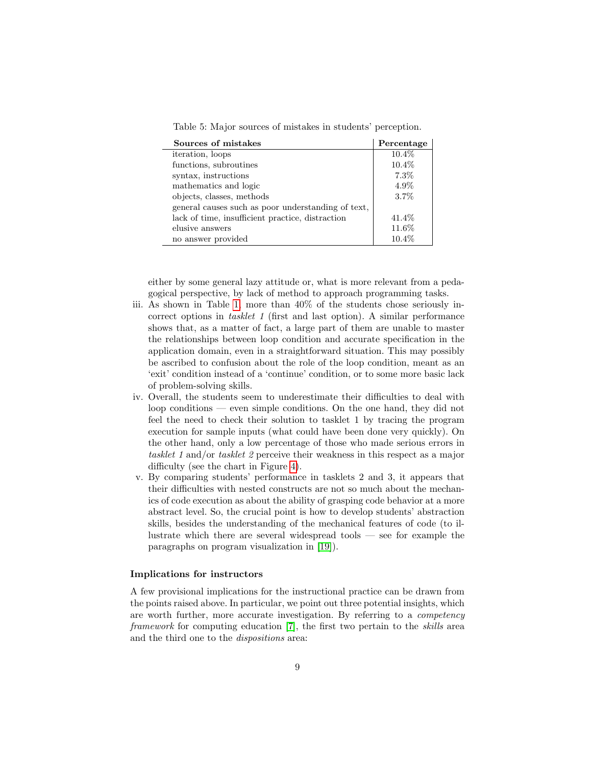<span id="page-8-0"></span>Table 5: Major sources of mistakes in students' perception.

| Sources of mistakes                                | Percentage |
|----------------------------------------------------|------------|
| <i>iteration</i> , loops                           | 10.4%      |
| functions, subroutines                             | $10.4\%$   |
| syntax, instructions                               | $7.3\%$    |
| mathematics and logic                              | 4.9%       |
| objects, classes, methods                          | 3.7%       |
| general causes such as poor understanding of text, |            |
| lack of time, insufficient practice, distraction   | 41.4\%     |
| elusive answers                                    | 11.6%      |
| no answer provided                                 | $10.4\%$   |

either by some general lazy attitude or, what is more relevant from a pedagogical perspective, by lack of method to approach programming tasks.

- iii. As shown in Table [1,](#page-4-0) more than 40% of the students chose seriously incorrect options in tasklet 1 (first and last option). A similar performance shows that, as a matter of fact, a large part of them are unable to master the relationships between loop condition and accurate specification in the application domain, even in a straightforward situation. This may possibly be ascribed to confusion about the role of the loop condition, meant as an 'exit' condition instead of a 'continue' condition, or to some more basic lack of problem-solving skills.
- iv. Overall, the students seem to underestimate their difficulties to deal with loop conditions — even simple conditions. On the one hand, they did not feel the need to check their solution to tasklet 1 by tracing the program execution for sample inputs (what could have been done very quickly). On the other hand, only a low percentage of those who made serious errors in tasklet 1 and/or tasklet 2 perceive their weakness in this respect as a major difficulty (see the chart in Figure [4\)](#page-7-1).
- v. By comparing students' performance in tasklets 2 and 3, it appears that their difficulties with nested constructs are not so much about the mechanics of code execution as about the ability of grasping code behavior at a more abstract level. So, the crucial point is how to develop students' abstraction skills, besides the understanding of the mechanical features of code (to illustrate which there are several widespread tools — see for example the paragraphs on program visualization in [\[19\]](#page-11-5)).

#### Implications for instructors

L,

A few provisional implications for the instructional practice can be drawn from the points raised above. In particular, we point out three potential insights, which are worth further, more accurate investigation. By referring to a competency framework for computing education [\[7\]](#page-10-4), the first two pertain to the skills area and the third one to the dispositions area: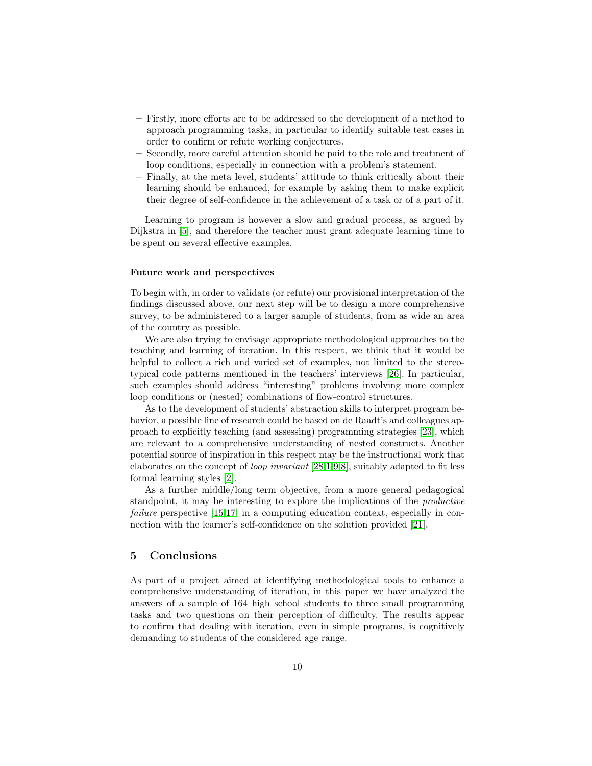- Firstly, more efforts are to be addressed to the development of a method to approach programming tasks, in particular to identify suitable test cases in order to confirm or refute working conjectures.
- Secondly, more careful attention should be paid to the role and treatment of loop conditions, especially in connection with a problem's statement.
- Finally, at the meta level, students' attitude to think critically about their learning should be enhanced, for example by asking them to make explicit their degree of self-confidence in the achievement of a task or of a part of it.

Learning to program is however a slow and gradual process, as argued by Dijkstra in [\[5\]](#page-10-5), and therefore the teacher must grant adequate learning time to be spent on several effective examples.

#### Future work and perspectives

To begin with, in order to validate (or refute) our provisional interpretation of the findings discussed above, our next step will be to design a more comprehensive survey, to be administered to a larger sample of students, from as wide an area of the country as possible.

We are also trying to envisage appropriate methodological approaches to the teaching and learning of iteration. In this respect, we think that it would be helpful to collect a rich and varied set of examples, not limited to the stereotypical code patterns mentioned in the teachers' interviews [\[26\]](#page-11-0). In particular, such examples should address "interesting" problems involving more complex loop conditions or (nested) combinations of flow-control structures.

As to the development of students' abstraction skills to interpret program behavior, a possible line of research could be based on de Raadt's and colleagues approach to explicitly teaching (and assessing) programming strategies [\[23\]](#page-11-6), which are relevant to a comprehensive understanding of nested constructs. Another potential source of inspiration in this respect may be the instructional work that elaborates on the concept of loop invariant [\[28,](#page-11-7)[1](#page-10-6)[,9,](#page-10-7)[8\]](#page-10-8), suitably adapted to fit less formal learning styles [\[2\]](#page-10-9).

As a further middle/long term objective, from a more general pedagogical standpoint, it may be interesting to explore the implications of the productive failure perspective [\[15,](#page-11-8)[17\]](#page-11-9) in a computing education context, especially in connection with the learner's self-confidence on the solution provided [\[21\]](#page-11-10).

# 5 Conclusions

As part of a project aimed at identifying methodological tools to enhance a comprehensive understanding of iteration, in this paper we have analyzed the answers of a sample of 164 high school students to three small programming tasks and two questions on their perception of difficulty. The results appear to confirm that dealing with iteration, even in simple programs, is cognitively demanding to students of the considered age range.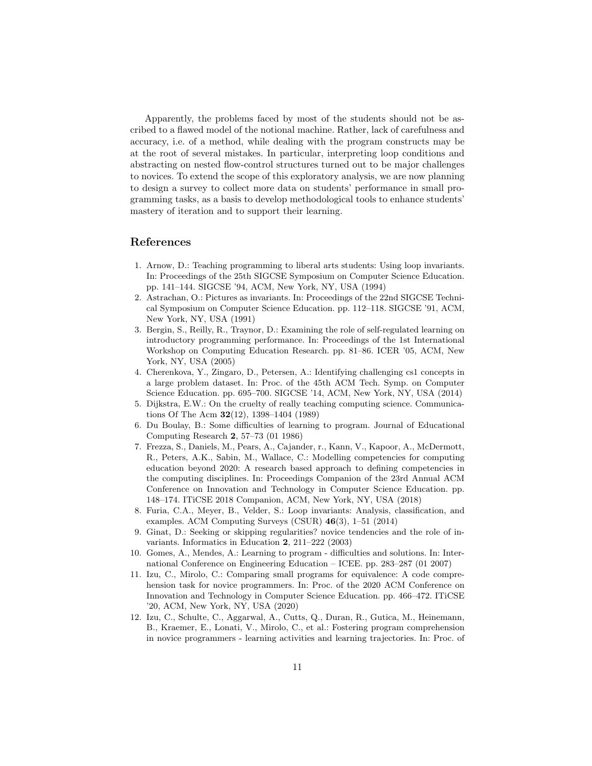Apparently, the problems faced by most of the students should not be ascribed to a flawed model of the notional machine. Rather, lack of carefulness and accuracy, i.e. of a method, while dealing with the program constructs may be at the root of several mistakes. In particular, interpreting loop conditions and abstracting on nested flow-control structures turned out to be major challenges to novices. To extend the scope of this exploratory analysis, we are now planning to design a survey to collect more data on students' performance in small programming tasks, as a basis to develop methodological tools to enhance students' mastery of iteration and to support their learning.

# References

- <span id="page-10-6"></span>1. Arnow, D.: Teaching programming to liberal arts students: Using loop invariants. In: Proceedings of the 25th SIGCSE Symposium on Computer Science Education. pp. 141–144. SIGCSE '94, ACM, New York, NY, USA (1994)
- <span id="page-10-9"></span>2. Astrachan, O.: Pictures as invariants. In: Proceedings of the 22nd SIGCSE Technical Symposium on Computer Science Education. pp. 112–118. SIGCSE '91, ACM, New York, NY, USA (1991)
- <span id="page-10-2"></span>3. Bergin, S., Reilly, R., Traynor, D.: Examining the role of self-regulated learning on introductory programming performance. In: Proceedings of the 1st International Workshop on Computing Education Research. pp. 81–86. ICER '05, ACM, New York, NY, USA (2005)
- <span id="page-10-0"></span>4. Cherenkova, Y., Zingaro, D., Petersen, A.: Identifying challenging cs1 concepts in a large problem dataset. In: Proc. of the 45th ACM Tech. Symp. on Computer Science Education. pp. 695–700. SIGCSE '14, ACM, New York, NY, USA (2014)
- <span id="page-10-5"></span>5. Dijkstra, E.W.: On the cruelty of really teaching computing science. Communications Of The Acm 32(12), 1398–1404 (1989)
- 6. Du Boulay, B.: Some difficulties of learning to program. Journal of Educational Computing Research 2, 57–73 (01 1986)
- <span id="page-10-4"></span>7. Frezza, S., Daniels, M., Pears, A., Cajander, r., Kann, V., Kapoor, A., McDermott, R., Peters, A.K., Sabin, M., Wallace, C.: Modelling competencies for computing education beyond 2020: A research based approach to defining competencies in the computing disciplines. In: Proceedings Companion of the 23rd Annual ACM Conference on Innovation and Technology in Computer Science Education. pp. 148–174. ITiCSE 2018 Companion, ACM, New York, NY, USA (2018)
- <span id="page-10-8"></span>8. Furia, C.A., Meyer, B., Velder, S.: Loop invariants: Analysis, classification, and examples. ACM Computing Surveys (CSUR) 46(3), 1–51 (2014)
- <span id="page-10-7"></span>9. Ginat, D.: Seeking or skipping regularities? novice tendencies and the role of invariants. Informatics in Education 2, 211–222 (2003)
- 10. Gomes, A., Mendes, A.: Learning to program difficulties and solutions. In: International Conference on Engineering Education – ICEE. pp. 283–287 (01 2007)
- <span id="page-10-3"></span>11. Izu, C., Mirolo, C.: Comparing small programs for equivalence: A code comprehension task for novice programmers. In: Proc. of the 2020 ACM Conference on Innovation and Technology in Computer Science Education. pp. 466–472. ITiCSE '20, ACM, New York, NY, USA (2020)
- <span id="page-10-1"></span>12. Izu, C., Schulte, C., Aggarwal, A., Cutts, Q., Duran, R., Gutica, M., Heinemann, B., Kraemer, E., Lonati, V., Mirolo, C., et al.: Fostering program comprehension in novice programmers - learning activities and learning trajectories. In: Proc. of